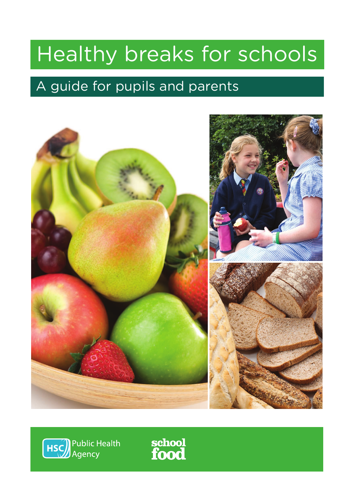# Healthy breaks for schools

### A guide for pupils and parents





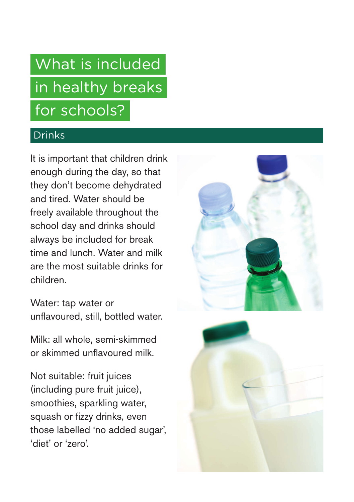## What is included in healthy breaks for schools?

#### Drinks

It is important that children drink enough during the day, so that they don't become dehydrated and tired. Water should be freely available throughout the school day and drinks should always be included for break time and lunch. Water and milk are the most suitable drinks for children.

Water: tap water or unflavoured, still, bottled water.

Milk: all whole, semi-skimmed or skimmed unflavoured milk.

Not suitable: fruit juices (including pure fruit juice), smoothies, sparkling water, squash or fizzy drinks, even those labelled 'no added sugar', 'diet' or 'zero'.



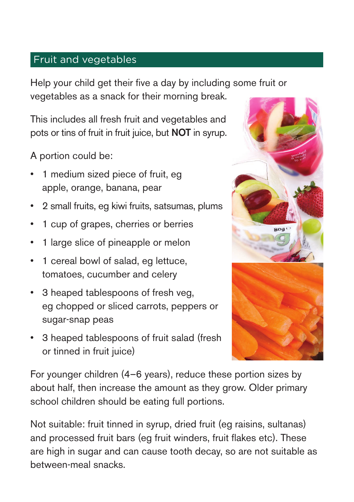#### Fruit and vegetables

Help your child get their five a day by including some fruit or vegetables as a snack for their morning break.

This includes all fresh fruit and vegetables and pots or tins of fruit in fruit juice, but NOT in syrup.

A portion could be:

- 1 medium sized piece of fruit, eg apple, orange, banana, pear
- 2 small fruits, eg kiwi fruits, satsumas, plums
- 1 cup of grapes, cherries or berries
- 1 large slice of pineapple or melon
- 1 cereal bowl of salad, eg lettuce, tomatoes, cucumber and celery
- 3 heaped tablespoons of fresh veg, eg chopped or sliced carrots, peppers or sugar-snap peas
- 3 heaped tablespoons of fruit salad (fresh or tinned in fruit juice)



For younger children (4–6 years), reduce these portion sizes by about half, then increase the amount as they grow. Older primary school children should be eating full portions.

Not suitable: fruit tinned in syrup, dried fruit (eg raisins, sultanas) and processed fruit bars (eg fruit winders, fruit flakes etc). These are high in sugar and can cause tooth decay, so are not suitable as between-meal snacks.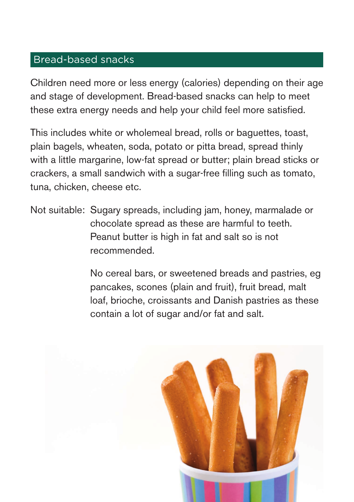#### Bread-based snacks

Children need more or less energy (calories) depending on their age and stage of development. Bread-based snacks can help to meet these extra energy needs and help your child feel more satisfied.

This includes white or wholemeal bread, rolls or baguettes, toast, plain bagels, wheaten, soda, potato or pitta bread, spread thinly with a little margarine, low-fat spread or butter; plain bread sticks or crackers, a small sandwich with a sugar-free filling such as tomato, tuna, chicken, cheese etc.

Not suitable: Sugary spreads, including jam, honey, marmalade or chocolate spread as these are harmful to teeth. Peanut butter is high in fat and salt so is not recommended.

> No cereal bars, or sweetened breads and pastries, eg pancakes, scones (plain and fruit), fruit bread, malt loaf, brioche, croissants and Danish pastries as these contain a lot of sugar and/or fat and salt.

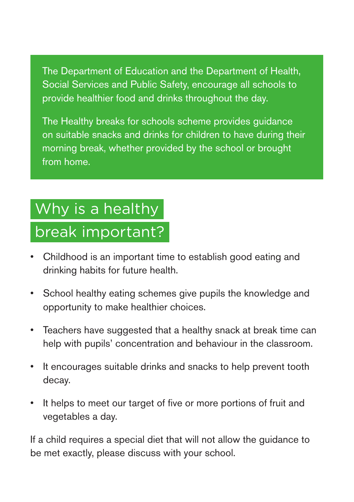The Department of Education and the Department of Health, Social Services and Public Safety, encourage all schools to provide healthier food and drinks throughout the day.

The Healthy breaks for schools scheme provides guidance on suitable snacks and drinks for children to have during their morning break, whether provided by the school or brought from home.

## Why is a healthy

### break important?

- Childhood is an important time to establish good eating and drinking habits for future health.
- School healthy eating schemes give pupils the knowledge and opportunity to make healthier choices.
- Teachers have suggested that a healthy snack at break time can help with pupils' concentration and behaviour in the classroom.
- It encourages suitable drinks and snacks to help prevent tooth decay.
- It helps to meet our target of five or more portions of fruit and vegetables a day.

If a child requires a special diet that will not allow the guidance to be met exactly, please discuss with your school.